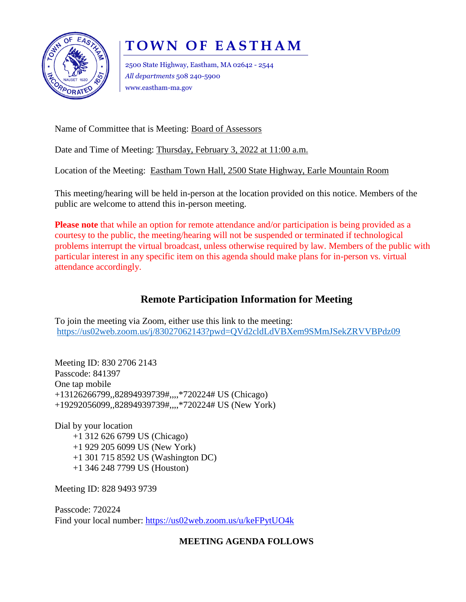

# **T O W N O F E A S T H A M**

2500 State Highway, Eastham, MA 02642 - 2544 *All departments* 508 240-5900 www.eastham-ma.gov

Name of Committee that is Meeting: Board of Assessors

Date and Time of Meeting: Thursday, February 3, 2022 at 11:00 a.m.

Location of the Meeting: Eastham Town Hall, 2500 State Highway, Earle Mountain Room

This meeting/hearing will be held in-person at the location provided on this notice. Members of the public are welcome to attend this in-person meeting.

**Please note** that while an option for remote attendance and/or participation is being provided as a courtesy to the public, the meeting/hearing will not be suspended or terminated if technological problems interrupt the virtual broadcast, unless otherwise required by law. Members of the public with particular interest in any specific item on this agenda should make plans for in-person vs. virtual attendance accordingly.

## **Remote Participation Information for Meeting**

To join the meeting via Zoom, either use this link to the meeting: <https://us02web.zoom.us/j/83027062143?pwd=QVd2cldLdVBXem9SMmJSekZRVVBPdz09>

Meeting ID: 830 2706 2143 Passcode: 841397 One tap mobile +13126266799,,82894939739#,,,,\*720224# US (Chicago) +19292056099,,82894939739#,,,,\*720224# US (New York)

Dial by your location +1 312 626 6799 US (Chicago) +1 929 205 6099 US (New York) +1 301 715 8592 US (Washington DC) +1 346 248 7799 US (Houston)

Meeting ID: 828 9493 9739

Passcode: 720224 Find your local number:<https://us02web.zoom.us/u/keFPytUO4k>

### **MEETING AGENDA FOLLOWS**